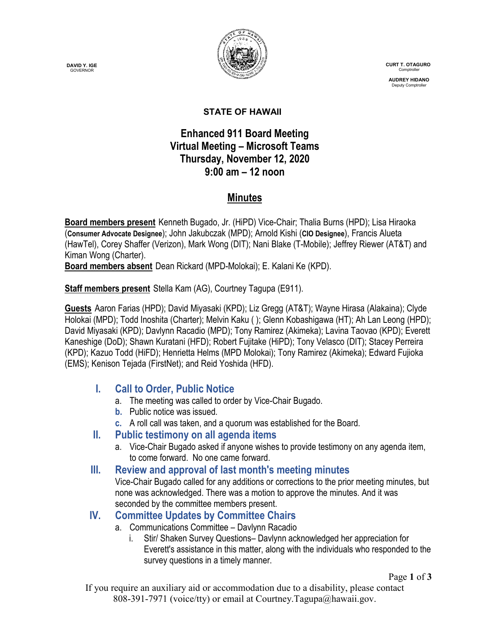**DAVID Y. IGE GOVERNOR** 



 **CURT T. OTAGURO** Comptrol

 **AUDREY HIDANO** Deputy Comptroll

#### **STATE OF HAWAII**

## **Enhanced 911 Board Meeting Virtual Meeting – Microsoft Teams Thursday, November 12, 2020 9:00 am – 12 noon**

## **Minutes**

**Board members present** Kenneth Bugado, Jr. (HiPD) Vice-Chair; Thalia Burns (HPD); Lisa Hiraoka (**Consumer Advocate Designee**); John Jakubczak (MPD); Arnold Kishi (**CIO Designee**), Francis Alueta (HawTel), Corey Shaffer (Verizon), Mark Wong (DIT); Nani Blake (T-Mobile); Jeffrey Riewer (AT&T) and Kiman Wong (Charter).

**Board members absent** Dean Rickard (MPD-Molokai); E. Kalani Ke (KPD).

**Staff members present** Stella Kam (AG), Courtney Tagupa (E911).

**Guests** Aaron Farias (HPD); David Miyasaki (KPD); Liz Gregg (AT&T); Wayne Hirasa (Alakaina); Clyde Holokai (MPD); Todd Inoshita (Charter); Melvin Kaku ( ); Glenn Kobashigawa (HT); Ah Lan Leong (HPD); David Miyasaki (KPD); Davlynn Racadio (MPD); Tony Ramirez (Akimeka); Lavina Taovao (KPD); Everett Kaneshige (DoD); Shawn Kuratani (HFD); Robert Fujitake (HiPD); Tony Velasco (DIT); Stacey Perreira (KPD); Kazuo Todd (HiFD); Henrietta Helms (MPD Molokai); Tony Ramirez (Akimeka); Edward Fujioka (EMS); Kenison Tejada (FirstNet); and Reid Yoshida (HFD).

## **I. Call to Order, Public Notice**

- a. The meeting was called to order by Vice-Chair Bugado.
- **b.** Public notice was issued.
- **c.** A roll call was taken, and a quorum was established for the Board.

### **II. Public testimony on all agenda items**

a. Vice-Chair Bugado asked if anyone wishes to provide testimony on any agenda item, to come forward. No one came forward.

### **III. Review and approval of last month's meeting minutes**

Vice-Chair Bugado called for any additions or corrections to the prior meeting minutes, but none was acknowledged. There was a motion to approve the minutes. And it was seconded by the committee members present.

## **IV. Committee Updates by Committee Chairs**

- a. Communications Committee Davlynn Racadio
	- i. Stir/ Shaken Survey Questions– Davlynn acknowledged her appreciation for Everett's assistance in this matter, along with the individuals who responded to the survey questions in a timely manner.

Page **1** of **3**

If you require an auxiliary aid or accommodation due to a disability, please contact 808-391-7971 (voice/tty) or email at Courtney.Tagupa@hawaii.gov.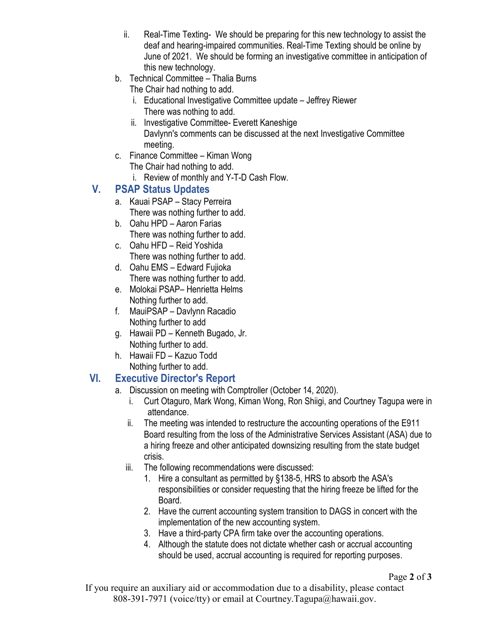- ii. Real-Time Texting- We should be preparing for this new technology to assist the deaf and hearing-impaired communities. Real-Time Texting should be online by June of 2021. We should be forming an investigative committee in anticipation of this new technology.
- b. Technical Committee Thalia Burns
	- The Chair had nothing to add.
	- i. Educational Investigative Committee update Jeffrey Riewer There was nothing to add.
	- ii. Investigative Committee- Everett Kaneshige Davlynn's comments can be discussed at the next Investigative Committee meeting.
- c. Finance Committee Kiman Wong The Chair had nothing to add.
	- i. Review of monthly and Y-T-D Cash Flow.

# **V. PSAP Status Updates**

- a. Kauai PSAP Stacy Perreira There was nothing further to add.
- b. Oahu HPD Aaron Farias There was nothing further to add.
- c. Oahu HFD Reid Yoshida There was nothing further to add.
- d. Oahu EMS Edward Fujioka There was nothing further to add.
- e. Molokai PSAP– Henrietta Helms Nothing further to add.
- f. MauiPSAP Davlynn Racadio Nothing further to add
- g. Hawaii PD Kenneth Bugado, Jr. Nothing further to add.
- h. Hawaii FD Kazuo Todd Nothing further to add.

# **VI. Executive Director's Report**

- a. Discussion on meeting with Comptroller (October 14, 2020).
	- i. Curt Otaguro, Mark Wong, Kiman Wong, Ron Shiigi, and Courtney Tagupa were in attendance.
	- ii. The meeting was intended to restructure the accounting operations of the E911 Board resulting from the loss of the Administrative Services Assistant (ASA) due to a hiring freeze and other anticipated downsizing resulting from the state budget crisis.
	- iii. The following recommendations were discussed:
		- 1. Hire a consultant as permitted by §138-5, HRS to absorb the ASA's responsibilities or consider requesting that the hiring freeze be lifted for the Board.
		- 2. Have the current accounting system transition to DAGS in concert with the implementation of the new accounting system.
		- 3. Have a third-party CPA firm take over the accounting operations.
		- 4. Although the statute does not dictate whether cash or accrual accounting should be used, accrual accounting is required for reporting purposes.

If you require an auxiliary aid or accommodation due to a disability, please contact 808-391-7971 (voice/tty) or email at Courtney.Tagupa@hawaii.gov.